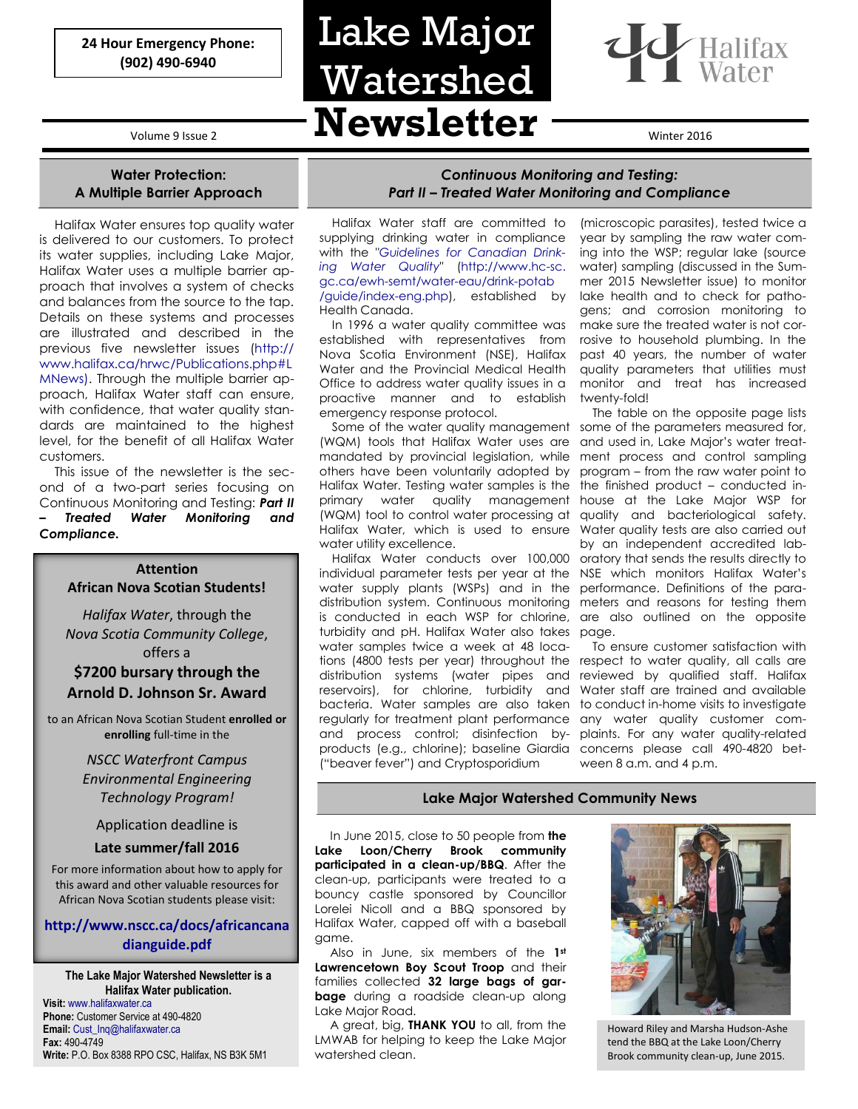**24 Hour Emergency Phone: (902) 490-6940**

### **Water Protection: A Multiple Barrier Approach**

Halifax Water ensures top quality water is delivered to our customers. To protect its water supplies, including Lake Major, Halifax Water uses a multiple barrier approach that involves a system of checks and balances from the source to the tap. Details on these systems and processes are illustrated and described in the previous five newsletter issues (http:// www.halifax.ca/hrwc/Publications.php#L MNews). Through the multiple barrier approach, Halifax Water staff can ensure, with confidence, that water quality standards are maintained to the highest level, for the benefit of all Halifax Water customers.

This issue of the newsletter is the second of a two-part series focusing on Continuous Monitoring and Testing: *Part II – Treated Water Monitoring and Compliance.*

#### **Attention African Nova Scotian Students!**

*Halifax Water*, through the *Nova Scotia Community College*, offers a

### **\$7200 bursary through the**

## **Arnold D. Johnson Sr. Award**

to an African Nova Scotian Student **enrolled or enrolling** full-time in the

### *NSCC Waterfront Campus Environmental Engineering Technology Program!*

### Application deadline is

### **Late summer/fall 2016**

For more information about how to apply for this award and other valuable resources for African Nova Scotian students please visit:

### **[http://www.nscc.ca/docs/africancana](http://www.nscc.ca/docs/africancanadianguide.pdf) [dianguide.pdf](http://www.nscc.ca/docs/africancanadianguide.pdf)**

**The Lake Major Watershed Newsletter is a Halifax Water publication. Visit:** [www.halifaxwater.ca](http://www.halifaxwater.ca/) **Phone:** Customer Service at 490-4820 **Email:** [Cust\\_Inq@halifaxwater.ca](mailto:Cust_Inq@halifaxwater.ca) **Fax:** 490-4749 **Write:** P.O. Box 8388 RPO CSC, Halifax, NS B3K 5M1

# Volume 9 Issue 2 **Newsletter** Words Lake Major Watershed



### *Continuous Monitoring and Testing: Part II – Treated Water Monitoring and Compliance*

Halifax Water staff are committed to supplying drinking water in compliance with the "*[Guidelines for Canadian Drink](file://HW-FS01/Data/Watershed%20Files/7.0%20Stakeholders/7.2%20Newsletter/Lake%20Major/Winter%202016/Guidelines%20for%20Canadian%20Drink-ing%20Water%20Quality)[ing Water Quality](file://HW-FS01/Data/Watershed%20Files/7.0%20Stakeholders/7.2%20Newsletter/Lake%20Major/Winter%202016/Guidelines%20for%20Canadian%20Drink-ing%20Water%20Quality)*" (http://www.hc-sc. gc.ca/ewh-semt/water-eau/drink-potab /guide/index-eng.php), established by Health Canada.

In 1996 a water quality committee was established with representatives from Nova Scotia Environment (NSE), Halifax Water and the Provincial Medical Health Office to address water quality issues in a proactive manner and to establish emergency response protocol.

Some of the water quality management (WQM) tools that Halifax Water uses are mandated by provincial legislation, while others have been voluntarily adopted by Halifax Water. Testing water samples is the primary water quality management (WQM) tool to control water processing at Halifax Water, which is used to ensure water utility excellence.

Halifax Water conducts over 100,000 individual parameter tests per year at the water supply plants (WSPs) and in the distribution system. Continuous monitoring is conducted in each WSP for chlorine, turbidity and pH. Halifax Water also takes water samples twice a week at 48 locations (4800 tests per year) throughout the distribution systems (water pipes and reservoirs), for chlorine, turbidity and bacteria. Water samples are also taken regularly for treatment plant performance and process control; disinfection byproducts (e.g., chlorine); baseline Giardia ("beaver fever") and Cryptosporidium

(microscopic parasites), tested twice a year by sampling the raw water coming into the WSP; regular lake (source water) sampling (discussed in the Summer 2015 Newsletter issue) to monitor lake health and to check for pathogens; and corrosion monitoring to make sure the treated water is not corrosive to household plumbing. In the past 40 years, the number of water quality parameters that utilities must monitor and treat has increased twenty-fold!

The table on the opposite page lists some of the parameters measured for, and used in, Lake Major's water treatment process and control sampling program – from the raw water point to the finished product – conducted inhouse at the Lake Major WSP for quality and bacteriological safety. Water quality tests are also carried out by an independent accredited laboratory that sends the results directly to NSE which monitors Halifax Water's performance. Definitions of the parameters and reasons for testing them are also outlined on the opposite page.

To ensure customer satisfaction with respect to water quality, all calls are reviewed by qualified staff. Halifax Water staff are trained and available to conduct in-home visits to investigate any water quality customer complaints. For any water quality-related concerns please call 490-4820 between 8 a.m. and 4 p.m.

### **Lake Major Watershed Community News**

In June 2015, close to 50 people from **the Lake Loon/Cherry Brook community participated in a clean-up/BBQ**. After the clean-up, participants were treated to a bouncy castle sponsored by Councillor Lorelei Nicoll and a BBQ sponsored by Halifax Water, capped off with a baseball game.

Also in June, six members of the **1st Lawrencetown Boy Scout Troop** and their families collected **32 large bags of garbage** during a roadside clean-up along Lake Major Road.

A great, big, **THANK YOU** to all, from the LMWAB for helping to keep the Lake Major watershed clean.<br>
Howard Richard Richard Richard Richard Richard Brook community clean-up, June 2015.



Howard Riley and Marsha Hudson-Ashe tend the BBQ at the Lake Loon/Cherry